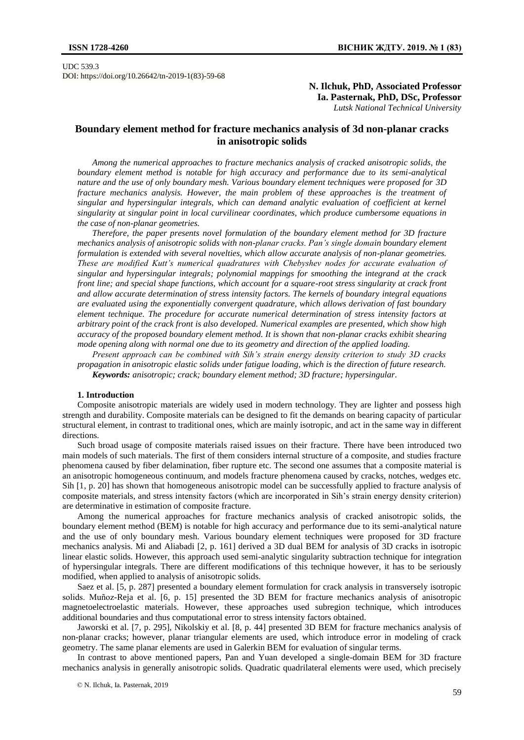UDC 539.3 DOI: https://doi.org/10.26642/tn-2019-1(83)-59-68

# **N. Ilchuk, PhD, Associated Professor Ia. Pasternak, PhD, DSc, Professor** *Lutsk National Technical University*

# **Boundary element method for fracture mechanics analysis of 3d non-planar cracks in anisotropic solids**

*Among the numerical approaches to fracture mechanics analysis of cracked anisotropic solids, the boundary element method is notable for high accuracy and performance due to its semi-analytical nature and the use of only boundary mesh. Various boundary element techniques were proposed for 3D fracture mechanics analysis. However, the main problem of these approaches is the treatment of singular and hypersingular integrals, which can demand analytic evaluation of coefficient at kernel singularity at singular point in local curvilinear coordinates, which produce cumbersome equations in the case of non-planar geometries.*

*Therefore, the paper presents novel formulation of the boundary element method for 3D fracture mechanics analysis of anisotropic solids with non-planar cracks. Pan's single domain boundary element formulation is extended with several novelties, which allow accurate analysis of non-planar geometries. These are modified Kutt's numerical quadratures with Chebyshev nodes for accurate evaluation of singular and hypersingular integrals; polynomial mappings for smoothing the integrand at the crack front line; and special shape functions, which account for a square-root stress singularity at crack front and allow accurate determination of stress intensity factors. The kernels of boundary integral equations are evaluated using the exponentially convergent quadrature, which allows derivation of fast boundary element technique. The procedure for accurate numerical determination of stress intensity factors at arbitrary point of the crack front is also developed. Numerical examples are presented, which show high accuracy of the proposed boundary element method. It is shown that non-planar cracks exhibit shearing mode opening along with normal one due to its geometry and direction of the applied loading.*

*Present approach can be combined with Sih's strain energy density criterion to study 3D cracks propagation in anisotropic elastic solids under fatigue loading, which is the direction of future research. Keywords: anisotropic; crack; boundary element method; 3D fracture; hypersingular.*

#### **1. Introduction**

Composite anisotropic materials are widely used in modern technology. They are lighter and possess high strength and durability. Composite materials can be designed to fit the demands on bearing capacity of particular structural element, in contrast to traditional ones, which are mainly isotropic, and act in the same way in different directions.

Such broad usage of composite materials raised issues on their fracture. There have been introduced two main models of such materials. The first of them considers internal structure of a composite, and studies fracture phenomena caused by fiber delamination, fiber rupture etc. The second one assumes that a composite material is an anisotropic homogeneous continuum, and models fracture phenomena caused by cracks, notches, wedges etc. Sih [1, p. 20] has shown that homogeneous anisotropic model can be successfully applied to fracture analysis of composite materials, and stress intensity factors (which are incorporated in Sih's strain energy density criterion) are determinative in estimation of composite fracture.

Among the numerical approaches for fracture mechanics analysis of cracked anisotropic solids, the boundary element method (BEM) is notable for high accuracy and performance due to its semi-analytical nature and the use of only boundary mesh. Various boundary element techniques were proposed for 3D fracture mechanics analysis. Mi and Aliabadi [2, p. 161] derived a 3D dual BEM for analysis of 3D cracks in isotropic linear elastic solids. However, this approach used semi-analytic singularity subtraction technique for integration of hypersingular integrals. There are different modifications of this technique however, it has to be seriously modified, when applied to analysis of anisotropic solids.

Saez et al. [5, p. 287] presented a boundary element formulation for crack analysis in transversely isotropic solids. Muñoz-Reja et al. [6, p. 15] presented the 3D BEM for fracture mechanics analysis of anisotropic magnetoelectroelastic materials. However, these approaches used subregion technique, which introduces additional boundaries and thus computational error to stress intensity factors obtained.

Jaworski et al. [7, p. 295], Nikolskiy et al. [8, p. 44] presented 3D BEM for fracture mechanics analysis of non-planar cracks; however, planar triangular elements are used, which introduce error in modeling of crack geometry. The same planar elements are used in Galerkin BEM for evaluation of singular terms.

In contrast to above mentioned papers, Pan and Yuan developed a single-domain BEM for 3D fracture mechanics analysis in generally anisotropic solids. Quadratic quadrilateral elements were used, which precisely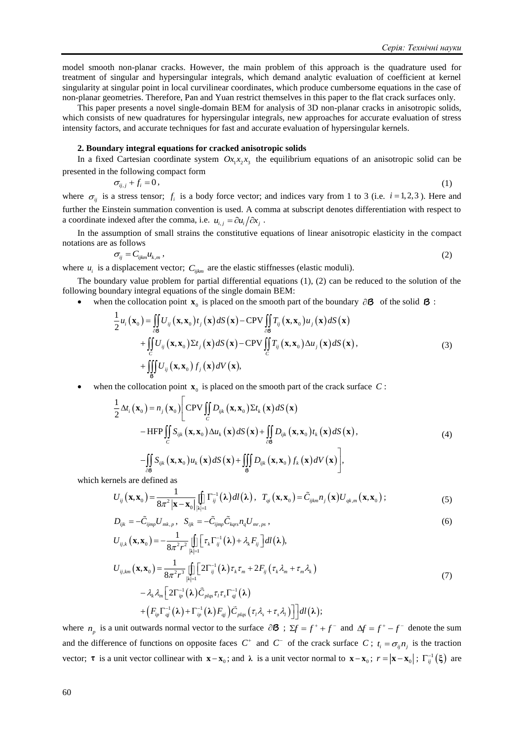model smooth non-planar cracks. However, the main problem of this approach is the quadrature used for treatment of singular and hypersingular integrals, which demand analytic evaluation of coefficient at kernel singularity at singular point in local curvilinear coordinates, which produce cumbersome equations in the case of non-planar geometries. Therefore, Pan and Yuan restrict themselves in this paper to the flat crack surfaces only.

This paper presents a novel single-domain BEM for analysis of 3D non-planar cracks in anisotropic solids, which consists of new quadratures for hypersingular integrals, new approaches for accurate evaluation of stress intensity factors, and accurate techniques for fast and accurate evaluation of hypersingular kernels.

## **2. Boundary integral equations for cracked anisotropic solids**

In a fixed Cartesian coordinate system  $Ox_1x_2x_3$  the equilibrium equations of an anisotropic solid can be presented in the following compact form

$$
\sigma_{ij,j} + f_i = 0,\tag{1}
$$

where  $\sigma_{ij}$  is a stress tensor;  $f_i$  is a body force vector; and indices vary from 1 to 3 (i.e.  $i = 1, 2, 3$ ). Here and further the Einstein summation convention is used. A comma at subscript denotes differentiation with respect to a coordinate indexed after the comma, i.e.  $u_{i,j} = \partial u_i / \partial x_j$ .

In the assumption of small strains the constitutive equations of linear anisotropic elasticity in the compact notations are as follows

$$
\sigma_{ij} = C_{ijkm} u_{k,m} \,, \tag{2}
$$

where  $u_i$  is a displacement vector;  $C_{ijkm}$  are the elastic stiffnesses (elastic moduli).

The boundary value problem for partial differential equations (1), (2) can be reduced to the solution of the following boundary integral equations of the single domain BEM:

• when the collocation point  $\mathbf{x}_0$  is placed on the smooth part of the boundary  $\partial \mathbf{B}$  of the solid  $\mathbf{B}$ :

$$
\frac{1}{2}u_i(\mathbf{x}_0) = \iint\limits_{\partial \mathcal{B}} U_{ij}(\mathbf{x}, \mathbf{x}_0) t_j(\mathbf{x}) dS(\mathbf{x}) - \text{CPV} \iint\limits_{\partial \mathcal{B}} T_{ij}(\mathbf{x}, \mathbf{x}_0) u_j(\mathbf{x}) dS(\mathbf{x}) \n+ \iint\limits_{C} U_{ij}(\mathbf{x}, \mathbf{x}_0) \Sigma t_j(\mathbf{x}) dS(\mathbf{x}) - \text{CPV} \iint\limits_{C} T_{ij}(\mathbf{x}, \mathbf{x}_0) \Delta u_j(\mathbf{x}) dS(\mathbf{x}), \n+ \iiint\limits_{\mathcal{B}} U_{ij}(\mathbf{x}, \mathbf{x}_0) f_j(\mathbf{x}) dV(\mathbf{x}),
$$
\n(3)

• when the collocation point  $\mathbf{x}_0$  is placed on the smooth part of the crack surface C:

$$
\frac{1}{2}\Delta t_i(\mathbf{x}_0) = n_j(\mathbf{x}_0) \Bigg[ CPV \iint_C Pv_{ijk}(\mathbf{x}, \mathbf{x}_0) \Sigma t_k(\mathbf{x}) dS(\mathbf{x}) \n-HFP \iint_C S_{ijk}(\mathbf{x}, \mathbf{x}_0) \Delta u_k(\mathbf{x}) dS(\mathbf{x}) + \iint_{\partial \mathcal{B}} D_{ijk}(\mathbf{x}, \mathbf{x}_0) t_k(\mathbf{x}) dS(\mathbf{x}), \n- \iint_{\partial \mathcal{B}} S_{ijk}(\mathbf{x}, \mathbf{x}_0) u_k(\mathbf{x}) dS(\mathbf{x}) + \iiint_{\mathcal{B}} D_{ijk}(\mathbf{x}, \mathbf{x}_0) f_k(\mathbf{x}) dV(\mathbf{x}) \Bigg],
$$
\n(4)

which kernels are defined as

$$
U_{ij}(\mathbf{x},\mathbf{x}_0) = \frac{1}{8\pi^2 |\mathbf{x}-\mathbf{x}_0|} \iint\limits_{|\lambda|=1} \Gamma_{ij}^{-1}(\lambda) dl(\lambda), \ \ T_{qi}(\mathbf{x},\mathbf{x}_0) = \tilde{C}_{ijkm} n_j(\mathbf{x}) U_{qk,m}(\mathbf{x},\mathbf{x}_0); \tag{5}
$$

$$
D_{ijk} = -\tilde{C}_{ijmp} U_{mk,p}, \quad S_{ijk} = -\tilde{C}_{ijmp} \tilde{C}_{kqrs} n_q U_{mr,ps},
$$
  
\n
$$
U_{ij,k} (\mathbf{x}, \mathbf{x}_0) = -\frac{1}{8\pi^2 r^2} \iint \left[ \tau_k \Gamma_{ij}^{-1} (\lambda) + \lambda_k F_{ij} \right] dl(\lambda),
$$
\n(6)

$$
D_{ijk} = -C_{jimp}U_{mk,p}, \quad S_{ijk} = -C_{jimp}C_{kqrs}n_qU_{mr,ps},
$$
\n
$$
U_{ij,k}(\mathbf{x}, \mathbf{x}_0) = -\frac{1}{8\pi^2 r^2} \iint_{|\lambda|=1} \left[ \tau_k \Gamma_{ij}^{-1}(\lambda) + \lambda_k F_{ij} \right] dl(\lambda),
$$
\n
$$
U_{ij,km}(\mathbf{x}, \mathbf{x}_0) = \frac{1}{8\pi^2 r^3} \iint_{|\lambda|=1} \left[ 2\Gamma_{ij}^{-1}(\lambda) \tau_k \tau_m + 2F_{ij}(\tau_k \lambda_m + \tau_m \lambda_k) -\lambda_k \lambda_m \right] \left[ 2\Gamma_{ip}^{-1}(\lambda) \tilde{C}_{plqs} \tau_l \tau_s \Gamma_{ij}^{-1}(\lambda) \right]
$$
\n(7)

$$
- \lambda_{k} \lambda_{m} \left[ 2 \Gamma_{ip}^{-1}(\boldsymbol{\lambda}) \boldsymbol{C}_{p l q s} \tau_{l} \tau_{s} \Gamma_{q j}^{-1}(\boldsymbol{\lambda}) \right. \\ \left. + \left( F_{ip} \Gamma_{q j}^{-1}(\boldsymbol{\lambda}) + \Gamma_{ip}^{-1}(\boldsymbol{\lambda}) F_{q j} \right) \tilde{\boldsymbol{C}}_{p l q s} \left( \tau_{l} \lambda_{s} + \tau_{s} \lambda_{l} \right) \right] dl(\boldsymbol{\lambda});
$$

where  $n_p$  is a unit outwards normal vector to the surface  $\partial \mathbf{B}$ ;  $\Sigma f = f^+ + f^-$  and  $\Delta f = f^+ - f^-$  denote the sum and the difference of functions on opposite faces  $C^+$  and  $C^-$  of the crack surface C;  $t_i = \sigma_{ij} n_j$  is the traction vector; **τ** is a unit vector collinear with  $\mathbf{x} - \mathbf{x}_0$ ; and  $\lambda$  is a unit vector normal to  $\mathbf{x} - \mathbf{x}_0$ ;  $r = |\mathbf{x} - \mathbf{x}_0|$ ;  $\Gamma_{ij}^{-1}(\xi)$  are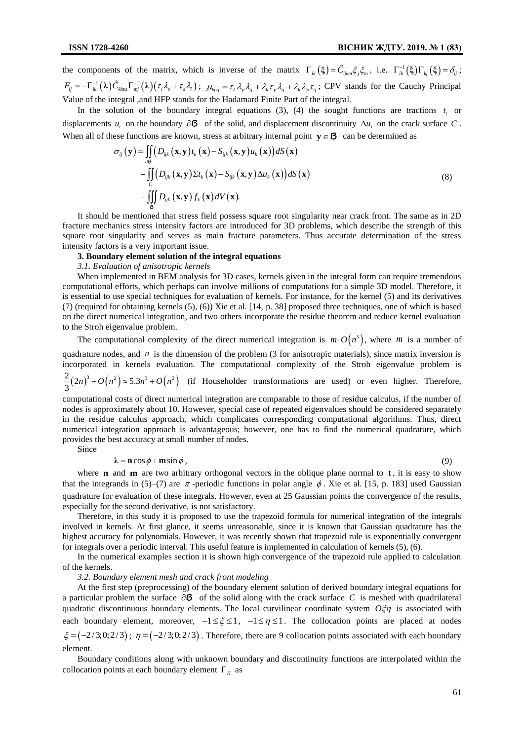the components of the matrix, which is inverse of the matrix  $\Gamma_{ik}(\xi) = \tilde{C}_{ijkm}\xi_j\xi_m$ , i.e.  $\Gamma_{ik}^{-1}(\xi)\Gamma_{kj}(\xi) = \delta_{ij}$ ;  $F_{ij} = -\Gamma_{ik}^{-1}(\lambda)\tilde{C}_{klms}\Gamma_{mj}^{-1}(\lambda)(\tau_i\lambda_s + \tau_s\lambda_i); \mu_{kpq} = \tau_k\lambda_p\lambda_q + \lambda_k\tau_p\lambda_q + \lambda_k\lambda_p\tau_q;$  CPV stands for the Cauchy Principal Value of the integral ,and HFP stands for the Hadamard Finite Part of the integral.

In the solution of the boundary integral equations  $(3)$ ,  $(4)$  the sought functions are tractions  $t_i$  or displacements  $u_i$  on the boundary  $\partial \mathbf{B}$  of the solid, and displacement discontinuity  $\Delta u_i$  on the crack surface C. When all of these functions are known, stress at arbitrary internal point  $y \in \mathcal{B}$  can be determined as

$$
\sigma_{ij}(\mathbf{y}) = \iint_{\partial \mathcal{B}} \left( D_{ijk} (\mathbf{x}, \mathbf{y}) t_k (\mathbf{x}) - S_{ijk} (\mathbf{x}, \mathbf{y}) u_k (\mathbf{x}) \right) dS(\mathbf{x}) \n+ \iint_{C} \left( D_{ijk} (\mathbf{x}, \mathbf{y}) \Sigma t_k (\mathbf{x}) - S_{ijk} (\mathbf{x}, \mathbf{y}) \Delta u_k (\mathbf{x}) \right) dS(\mathbf{x}) \n+ \iiint_{\mathcal{B}} D_{ijk} (\mathbf{x}, \mathbf{y}) f_k (\mathbf{x}) dV(\mathbf{x}).
$$
\n(8)

It should be mentioned that stress field possess square root singularity near crack front. The same as in 2D fracture mechanics stress intensity factors are introduced for 3D problems, which describe the strength of this square root singularity and serves as main fracture parameters. Thus accurate determination of the stress intensity factors is a very important issue.

## **3. Boundary element solution of the integral equations**

# *3.1. Evaluation of anisotropic kernels*

When implemented in BEM analysis for 3D cases, kernels given in the integral form can require tremendous computational efforts, which perhaps can involve millions of computations for a simple 3D model. Therefore, it is essential to use special techniques for evaluation of kernels. For instance, for the kernel (5) and its derivatives (7) (required for obtaining kernels (5), (6)) Xie et al. [14, p. 38] proposed three techniques, one of which is based on the direct numerical integration, and two others incorporate the residue theorem and reduce kernel evaluation to the Stroh eigenvalue problem.

The computational complexity of the direct numerical integration is  $m \cdot O(n^3)$ , where m is a number of quadrature nodes, and  $n$  is the dimension of the problem (3 for anisotropic materials), since matrix inversion is incorporated in kernels evaluation. The computational complexity of the Stroh eigenvalue problem is  $\frac{2}{3}(2n)^3 + O(n^2) \approx 5.3n^3 + O(n^2)$  (if Householder transformations are used) or even higher. Therefore,

computational costs of direct numerical integration are comparable to those of residue calculus, if the number of nodes is approximately about 10. However, special case of repeated eigenvalues should be considered separately in the residue calculus approach, which complicates corresponding computational algorithms. Thus, direct numerical integration approach is advantageous; however, one has to find the numerical quadrature, which provides the best accuracy at small number of nodes.

Since

## $\lambda = \mathbf{n} \cos \phi + \mathbf{m} \sin \phi$ , (9)

where **n** and **m** are two arbitrary orthogonal vectors in the oblique plane normal to  $t$ , it is easy to show that the integrands in (5)–(7) are  $\pi$ -periodic functions in polar angle  $\phi$ . Xie et al. [15, p. 183] used Gaussian quadrature for evaluation of these integrals. However, even at 25 Gaussian points the convergence of the results, especially for the second derivative, is not satisfactory.

Therefore, in this study it is proposed to use the trapezoid formula for numerical integration of the integrals involved in kernels. At first glance, it seems unreasonable, since it is known that Gaussian quadrature has the highest accuracy for polynomials. However, it was recently shown that trapezoid rule is exponentially convergent for integrals over a periodic interval. This useful feature is implemented in calculation of kernels (5), (6).

In the numerical examples section it is shown high convergence of the trapezoid rule applied to calculation of the kernels.

*3.2. Boundary element mesh and crack front modeling*

At the first step (preprocessing) of the boundary element solution of derived boundary integral equations for a particular problem the surface  $\partial \mathbf{B}$  of the solid along with the crack surface C is meshed with quadrilateral quadratic discontinuous boundary elements. The local curvilinear coordinate system  $O\xi\eta$  is associated with each boundary element, moreover,  $-1 \le \xi \le 1$ ,  $-1 \le \eta \le 1$ . The collocation points are placed at nodes  $\xi = (-2/3;0;2/3); \eta = (-2/3;0;2/3)$ . Therefore, there are 9 collocation points associated with each boundary element.

Boundary conditions along with unknown boundary and discontinuity functions are interpolated within the collocation points at each boundary element  $\Gamma_N$  as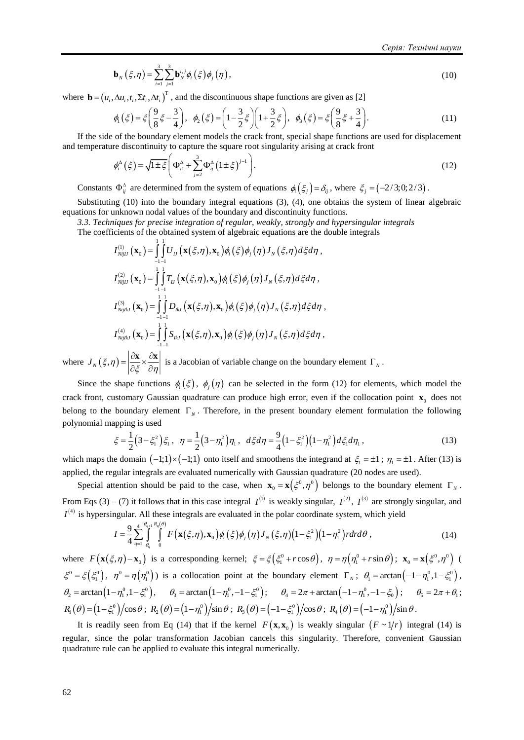$$
\mathbf{b}_{N}\left(\xi,\eta\right)=\sum_{i=1}^{3}\sum_{j=1}^{3}\mathbf{b}_{N}^{i,j}\phi_{i}\left(\xi\right)\phi_{j}\left(\eta\right),\tag{10}
$$

where  $\mathbf{b} = (u_i, \Delta u_i, t_i, \Sigma t_i, \Delta t_i)^T$ , and the discontinuous shape functions are given as [2]

$$
\phi_1(\xi) = \xi \left( \frac{9}{8} \xi - \frac{3}{4} \right), \quad \phi_2(\xi) = \left( 1 - \frac{3}{2} \xi \right) \left( 1 + \frac{3}{2} \xi \right), \quad \phi_3(\xi) = \xi \left( \frac{9}{8} \xi + \frac{3}{4} \right).
$$
\n(11)

If the side of the boundary element models the crack front, special shape functions are used for displacement and temperature discontinuity to capture the square root singularity arising at crack front<br>  $A^{\Delta} (E) = \sqrt{1 + E} \left( \Phi^{\Delta} + \sum_{i=1}^{3} \Phi^{\Delta} (1 + E)^{i-1} \right)$ 

$$
\phi_i^{\mathbf{A}}(\xi) = \sqrt{1 \pm \xi} \left( \Phi_{i1}^{\mathbf{A}} + \sum_{j=2}^3 \Phi_{ij}^{\mathbf{A}} \left( 1 \pm \xi \right)^{j-1} \right). \tag{12}
$$

Constants  $\Phi_{ij}^{\Delta}$  are determined from the system of equations  $\phi_i(\xi_j) = \delta_{ij}$ , where  $\xi_j = (-2/3; 0; 2/3)$ .

Substituting (10) into the boundary integral equations (3), (4), one obtains the system of linear algebraic equations for unknown nodal values of the boundary and discontinuity functions.

*3.3. Techniques for precise integration of regular, weakly, strongly and hypersingular integrals* 3.3. Techniques for precise integration of regular, weakly, strongly and hypersingular<br>The coefficients of the obtained system of algebraic equations are the double integrals<br> $I_{NijIJ}^{(1)}(\mathbf{x}_0) = \int_{-1-1}^{1} I U_{IJ}(\mathbf{x}(\xi,\eta),\$ 

**b**<sub>N</sub>(ξ, η) = 
$$
\sum_{i} \sum_{j=1}^{N} b_{ij}^{\dagger} \phi_i(\xi) \phi_j(\eta)
$$
,  
where **b** =  $(u_i, \Delta u_i, t_i, \Sigma t_i, \Delta t_i)^T$ , and the discontinuous shape functions are given  
 $\phi_i(\xi) = \xi \left(\frac{9}{8}\xi - \frac{3}{4}\right)$ ,  $\phi_i(\xi) = \left(1 - \frac{3}{2}\xi\right)\left(1 + \frac{3}{2}\xi\right)$ ,  $\phi_i(\xi) = \xi\left(\frac{9}{8}\xi\right)$   
If the side of the boundary element models the crack front, special shape fur  
and temperature discontinuity to capture the square root singularity arising at era  
 $\phi_i^{\Delta}(\xi) = \sqrt{1 \pm \xi} \left(\Phi_{i1}^{\Delta} + \sum_{j=2}^{3} \Phi_{ij}^{\Delta}(1 \pm \xi)^{j-1}\right)$ .  
Constraints 0<sup>2</sup> are determined from the system of equations θ<sub>i</sub>(ξ<sub>i</sub>) = δ<sub>j</sub>, who  
Substituting (10) into the boundary integral equations (3), (4), one obtain  
3.3. Techniques for precise integration of regular, weakly, strongly and hyp  
The coefficients of the obtained system of algebraic equations are the double  
 $I_{i,ij}^{(1)}$  $(\mathbf{x}_0) = \int_{-1}^{1} \int_{-1}^{1} U_{ij}(\mathbf{x}(\xi,\eta), \mathbf{x}_0) \phi_i(\xi) \phi_j(\eta) J_{N}(\xi,\eta) d\xi d\eta$ ,  
 $I_{i,ij}^{(2)}$  $(\mathbf{x}_0) = \int_{-1}^{1} \int_{-1}^{1} U_{ij}(\mathbf{x}(\xi,\eta), \mathbf{x}_0) \phi_i(\xi) \phi_j(\eta) J_{N}(\xi,\eta) d\xi d\eta$ ,  
 $I_{i,ij}^{(3)}$  $(\mathbf{x}_0) = \int_{-1}^{1} \int_{-1}^{1} U_{ij}(\mathbf{x}(\xi,\eta), \mathbf{x}_0) \phi_i(\xi) \phi_j(\eta) J_{N}(\xi,\eta) d\xi d\eta$ ,  
 $I_{i,ij}^{(3)}$  $(\mathbf{x}_0) = \int_{-1}^{1} \int_{-1}^{1} U_{ij}(\mathbf{x}(\xi,\eta), \mathbf{x}_0) \phi_i(\xi) \phi$ 

where  $J_N(\xi, \eta) = \left| \frac{\partial \mathbf{x}}{\partial \xi} \times \frac{\partial \mathbf{x}}{\partial \eta} \right|$  $=\left|\frac{\partial x}{\partial x} \times \frac{\partial x}{\partial x}\right|$  $\partial \xi \, \widehat{\,} \, \partial \eta$  $\frac{\mathbf{x}}{|\mathbf{x}|} \times \frac{\partial \mathbf{x}}{\partial \mathbf{x}}$  is a Jacobian of variable change on the boundary element  $\Gamma_N$ .

Since the shape functions  $\phi_i(\xi)$ ,  $\phi_j(\eta)$  can be selected in the form (12) for elements, which model the crack front, customary Gaussian quadrature can produce high error, even if the collocation point  $\mathbf{x}_0$  does not belong to the boundary element  $\Gamma_N$ . Therefore, in the present boundary element formulation the following polynomial mapping is used

$$
\xi = \frac{1}{2} \left( 3 - \xi_1^2 \right) \xi_1, \quad \eta = \frac{1}{2} \left( 3 - \eta_1^2 \right) \eta_1, \quad d\xi d\eta = \frac{9}{4} \left( 1 - \xi_1^2 \right) \left( 1 - \eta_1^2 \right) d\xi_1 d\eta_1, \tag{13}
$$

which maps the domain  $(-1,1) \times (-1,1)$  onto itself and smoothens the integrand at  $\xi_1 = \pm 1$ ;  $\eta_1 = \pm 1$ . After (13) is applied, the regular integrals are evaluated numerically with Gaussian quadrature (20 nodes are used).

Special attention should be paid to the case, when  $\mathbf{x}_0 = \mathbf{x} (\xi^0, \eta^0)$  belongs to the boundary element  $\Gamma_N$ . From Eqs (3) – (7) it follows that in this case integral  $I^{(1)}$  is weakly singular,  $I^{(2)}$ ,  $I^{(3)}$  are strongly singular, and  $I^{(4)}$  is hypersingular. All these integrals are evaluated in the polar coordinate system, which yield

$$
I = \frac{9}{4} \sum_{q=1}^{4} \int_{\theta_{q}}^{\theta_{q+1}} \int_{0}^{\theta_{q+1}} F\big(\mathbf{x}(\xi,\eta),\mathbf{x}_{0}\big) \phi_{i}(\xi) \phi_{j}(\eta) J_{N}(\xi,\eta) \big(1-\xi_{1}^{2}\big) \big(1-\eta_{1}^{2}\big) r dr d\theta , \qquad (14)
$$

where  $F(\mathbf{x}(\xi,\eta)-\mathbf{x}_0)$  is a corresponding kernel;  $\xi = \xi(\xi_1^0 + r\cos\theta)$ ,  $\eta = \eta(\eta_1^0 + r\sin\theta)$ ;  $\mathbf{x}_0 = \mathbf{x}(\xi^0,\eta^0)$  (  $\xi^0 = \xi(\xi_1^0), \quad \eta^0 = \eta(\eta_1^0)$  is a collocation point at the boundary element  $\Gamma_N$ ;  $\theta_1 = \arctan(-1 - \eta_1^0, 1 - \xi_1^0)$ ,  $\theta_2 = \arctan\left(1 - \eta_1^0, 1 - \xi_1^0\right), \quad \theta_3 = \arctan\left(1 - \eta_1^0, -1 - \xi_1^0\right); \quad \theta_4 = 2\pi + \arctan\left(-1 - \eta_1^0, -1 - \xi_0\right); \quad \theta_5 = 2\pi + \theta_1;$  $R_1(\theta) = (1 - \xi_1^0)/\cos\theta$ ;  $R_2(\theta) = (1 - \eta_1^0)/\sin\theta$ ;  $R_3(\theta) = (-1 - \xi_1^0)/\cos\theta$ ;  $R_4(\theta) = (-1 - \eta_1^0)/\sin\theta$ .

It is readily seen from Eq (14) that if the kernel  $F(\mathbf{x}, \mathbf{x}_0)$  is weakly singular  $(F \sim 1/r)$  integral (14) is regular, since the polar transformation Jacobian cancels this singularity. Therefore, convenient Gaussian quadrature rule can be applied to evaluate this integral numerically.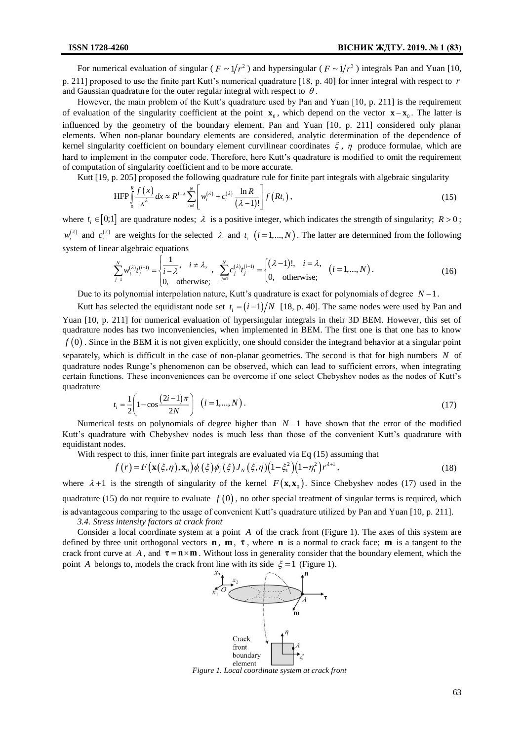For numerical evaluation of singular ( $F \sim 1/r^2$ ) and hypersingular ( $F \sim 1/r^3$ ) integrals Pan and Yuan [10, p. 211] proposed to use the finite part Kutt's numerical quadrature [18, p. 40] for inner integral with respect to *r* and Gaussian quadrature for the outer regular integral with respect to  $\theta$ .

However, the main problem of the Kutt's quadrature used by Pan and Yuan [10, p. 211] is the requirement of evaluation of the singularity coefficient at the point  $\mathbf{x}_0$ , which depend on the vector  $\mathbf{x}-\mathbf{x}_0$ . The latter is influenced by the geometry of the boundary element. Pan and Yuan [10, p. 211] considered only planar elements. When non-planar boundary elements are considered, analytic determination of the dependence of kernel singularity coefficient on boundary element curvilinear coordinates  $\xi$ ,  $\eta$  produce formulae, which are hard to implement in the computer code. Therefore, here Kutt's quadrature is modified to omit the requirement of computation of singularity coefficient and to be more accurate.

Kutt [19, p. 205] proposed the following quadrature rule for finite part integrals with algebraic singularity

$$
\operatorname{HFP}\int_{0}^{R}\frac{f(x)}{x^{\lambda}}dx \approx R^{1-\lambda}\sum_{i=1}^{N}\left[w_{i}^{(\lambda)}+c_{i}^{(\lambda)}\frac{\ln R}{(\lambda-1)!}\right]f(Rt_{i}),
$$
\n(15)

where  $t_i \in [0;1]$  are quadrature nodes;  $\lambda$  is a positive integer, which indicates the strength of singularity;  $R > 0$ ;  $w_i^{(\lambda)}$  and  $c_i^{(\lambda)}$  are weights for the selected  $\lambda$  and  $t_i$   $(i=1,...,N)$ . The latter are determined from the following system of linear algebraic equations

$$
\sum_{j=1}^{N} w_j^{(\lambda)} t_j^{(i-1)} = \begin{cases} \frac{1}{i - \lambda}, & i \neq \lambda, \\ 0, & \text{otherwise}; \end{cases}, \quad \sum_{j=1}^{N} c_j^{(\lambda)} t_j^{(i-1)} = \begin{cases} (\lambda - 1)!, & i = \lambda, \\ 0, & \text{otherwise}; \end{cases} (i = 1, ..., N).
$$
 (16)

Due to its polynomial interpolation nature, Kutt's quadrature is exact for polynomials of degree  $N-1$ .

Kutt has selected the equidistant node set  $t_i = (i-1)/N$  [18, p. 40]. The same nodes were used by Pan and Yuan [10, p. 211] for numerical evaluation of hypersingular integrals in their 3D BEM. However, this set of quadrature nodes has two inconveniencies, when implemented in BEM. The first one is that one has to know  $f(0)$ . Since in the BEM it is not given explicitly, one should consider the integrand behavior at a singular point separately, which is difficult in the case of non-planar geometries. The second is that for high numbers N of quadrature nodes Runge's phenomenon can be observed, which can lead to sufficient errors, when integrating certain functions. These inconveniences can be overcome if one select Chebyshev nodes as the nodes of Kutt's quadrature

$$
t_i = \frac{1}{2} \left( 1 - \cos \frac{(2i - 1)\pi}{2N} \right) \quad (i = 1, ..., N).
$$
 (17)

Numerical tests on polynomials of degree higher than  $N-1$  have shown that the error of the modified Kutt's quadrature with Chebyshev nodes is much less than those of the convenient Kutt's quadrature with equidistant nodes.

distant nodes.  
\nWith respect to this, inner finite part integrals are evaluated via Eq (15) assuming that  
\n
$$
f(r) = F(\mathbf{x}(\xi, \eta), \mathbf{x}_0) \phi_i(\xi) \phi_j(\xi) J_N(\xi, \eta) (1 - \xi_1^2) (1 - \eta_1^2) r^{\lambda+1},
$$
\n(18)

where  $\lambda + 1$  is the strength of singularity of the kernel  $F(\mathbf{x}, \mathbf{x}_0)$ . Since Chebyshev nodes (17) used in the quadrature (15) do not require to evaluate  $f(0)$ , no other special treatment of singular terms is required, which is advantageous comparing to the usage of convenient Kutt's quadrature utilized by Pan and Yuan [10, p. 211].

*3.4. Stress intensity factors at crack front*

Consider a local coordinate system at a point A of the crack front (Figure 1). The axes of this system are defined by three unit orthogonal vectors  $\mathbf{n}$ ,  $\mathbf{m}$ ,  $\tau$ , where  $\mathbf{n}$  is a normal to crack face;  $\mathbf{m}$  is a tangent to the crack front curve at  $A$ , and  $\tau = \mathbf{n} \times \mathbf{m}$ . Without loss in generality consider that the boundary element, which the point A belongs to, models the crack front line with its side  $\xi = 1$  (Figure 1).



*Figure 1. Local coordinate system at crack front*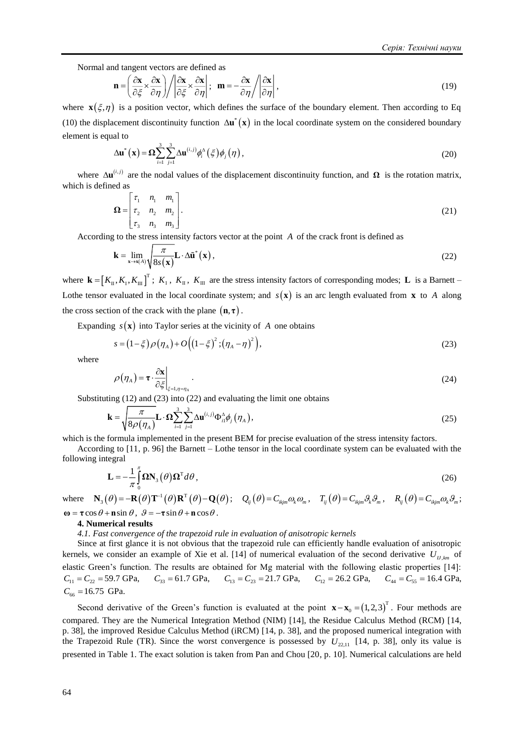Normal and tangent vectors are defined as

$$
\mathbf{n} = \left(\frac{\partial \mathbf{x}}{\partial \xi} \times \frac{\partial \mathbf{x}}{\partial \eta}\right) / \left|\frac{\partial \mathbf{x}}{\partial \xi} \times \frac{\partial \mathbf{x}}{\partial \eta}\right|; \quad \mathbf{m} = -\frac{\partial \mathbf{x}}{\partial \eta} / \left|\frac{\partial \mathbf{x}}{\partial \eta}\right|,\tag{19}
$$

where  $\mathbf{x}(\xi, \eta)$  is a position vector, which defines the surface of the boundary element. Then according to Eq (10) the displacement discontinuity function  $\Delta u^*(x)$  in the local coordinate system on the considered boundary element is equal to

$$
\Delta \mathbf{u}^* (\mathbf{x}) = \Omega \sum_{i=1}^3 \sum_{j=1}^3 \Delta \mathbf{u}^{(i,j)} \phi_i^{\Delta} (\xi) \phi_j (\eta) , \qquad (20)
$$

where  $\Delta \mathbf{u}^{(i,j)}$  are the nodal values of the displacement discontinuity function, and  $\Omega$  is the rotation matrix, which is defined as

$$
\Omega = \begin{bmatrix} \tau_1 & n_1 & m_1 \\ \tau_2 & n_2 & m_2 \\ \tau_3 & n_3 & m_3 \end{bmatrix} .
$$
 (21)

According to the stress intensity factors vector at the point *A* of the crack front is defined as

$$
\mathbf{k} = \lim_{\mathbf{x} \to \mathbf{x}(A)} \sqrt{\frac{\pi}{8s(\mathbf{x})}} \mathbf{L} \cdot \Delta \tilde{\mathbf{u}}^*(\mathbf{x}),
$$
 (22)

where  $\mathbf{k} = [K_{\text{II}}, K_{\text{I}}, K_{\text{III}}]^T$ ;  $K_{\text{I}}$ ,  $K_{\text{III}}$ , are the stress intensity factors of corresponding modes; **L** is a Barnett – Lothe tensor evaluated in the local coordinate system; and  $s(\mathbf{x})$  is an arc length evaluated from  $\mathbf{x}$  to A along the cross section of the crack with the plane  $(n, \tau)$ .

Expanding  $s(\mathbf{x})$  into Taylor series at the vicinity of A one obtains

$$
s = (1 - \xi)\rho(\eta_A) + O\left(\left(1 - \xi\right)^2; \left(\eta_A - \eta\right)^2\right),\tag{23}
$$

where

$$
\rho(\eta_A) = \tau \cdot \frac{\partial \mathbf{x}}{\partial \xi}\bigg|_{\xi = 1, \eta = \eta_A} \,. \tag{24}
$$

Substituting (12) and (23) into (22) and evaluating the limit one obtains

$$
\mathbf{k} = \sqrt{\frac{\pi}{8\rho(\eta_A)}} \mathbf{L} \cdot \Omega \sum_{i=1}^3 \sum_{j=1}^3 \Delta \mathbf{u}^{(i,j)} \Phi_{i1}^{\Delta} \phi_j(\eta_A), \qquad (25)
$$

which is the formula implemented in the present BEM for precise evaluation of the stress intensity factors.

According to [11, p. 96] the Barnett – Lothe tensor in the local coordinate system can be evaluated with the following integral

$$
\mathbf{L} = -\frac{1}{\pi} \int_{0}^{\pi} \mathbf{\Omega} \mathbf{N}_{3}(\theta) \mathbf{\Omega}^{T} d\theta, \qquad (26)
$$

where  $\mathbf{N}_3(\theta) = -\mathbf{R}(\theta)\mathbf{T}^{-1}(\theta)\mathbf{R}^{\mathrm{T}}(\theta) - \mathbf{Q}(\theta);$   $Q_{ij}(\theta) = C_{ikjm}\omega_k\omega_m$ ,  $T_{ij}(\theta) = C_{ikjm}\omega_k\omega_m$ ,  $R_{ij}(\theta) = C_{ikjm}\omega_k\omega_m$ ;  $\mathbf{\omega} = \mathbf{\tau} \cos \theta + \mathbf{n} \sin \theta$ ,  $\mathbf{\theta} = -\mathbf{\tau} \sin \theta + \mathbf{n} \cos \theta$ .

#### **4. Numerical results**

*4.1. Fast convergence of the trapezoid rule in evaluation of anisotropic kernels*

Since at first glance it is not obvious that the trapezoid rule can efficiently handle evaluation of anisotropic kernels, we consider an example of Xie et al. [14] of numerical evaluation of the second derivative  $U_{II,km}$  of elastic Green's function. The results are obtained for Mg material with the following elastic properties [14]:  $C_{11} = C_{22} = 59.7 \text{ GPa}, \quad C_{33} = 61.7 \text{ GPa}, \quad C_{13} = C_{23} = 21.7 \text{ GPa}, \quad C_{12} = 26.2 \text{ GPa}, \quad C_{44} = C_{55} = 16.4 \text{ GPa},$  $C_{66} = 16.75$  GPa.

Second derivative of the Green's function is evaluated at the point  $\mathbf{x}-\mathbf{x}_0 = (1,2,3)^T$  $\mathbf{x} - \mathbf{x}_0 = (1, 2, 3)^T$ . Four methods are compared. They are the Numerical Integration Method (NIM) [14], the Residue Calculus Method (RCM) [14, p. 38], the improved Residue Calculus Method (iRCM) [14, p. 38], and the proposed numerical integration with the Trapezoid Rule (TR). Since the worst convergence is possessed by  $U_{2,11}$  [14, p. 38], only its value is presented in Table 1. The exact solution is taken from Pan and Chou [20, p. 10]. Numerical calculations are held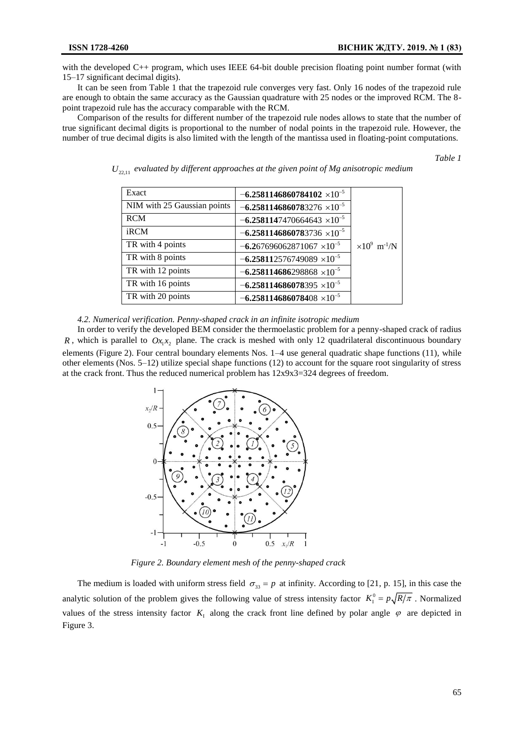with the developed C++ program, which uses IEEE 64-bit double precision floating point number format (with 15–17 significant decimal digits).

It can be seen from Table 1 that the trapezoid rule converges very fast. Only 16 nodes of the trapezoid rule are enough to obtain the same accuracy as the Gaussian quadrature with 25 nodes or the improved RCM. The 8 point trapezoid rule has the accuracy comparable with the RCM.

Comparison of the results for different number of the trapezoid rule nodes allows to state that the number of true significant decimal digits is proportional to the number of nodal points in the trapezoid rule. However, the number of true decimal digits is also limited with the length of the mantissa used in floating-point computations.

*Table 1*

| Exact                       | $-6.2581146860784102\times10^{-5}$      |                                  |
|-----------------------------|-----------------------------------------|----------------------------------|
| NIM with 25 Gaussian points | $-6.2581146860783276$ ×10 <sup>-5</sup> |                                  |
| <b>RCM</b>                  | $-6.2581147470664643 \times 10^{-5}$    |                                  |
| iRCM                        | $-6.2581146860783736\times10^{-5}$      |                                  |
| TR with 4 points            | $-6.267696062871067$ ×10 <sup>-5</sup>  | $\times 10^9$ m <sup>-1</sup> /N |
| TR with 8 points            | $-6.258112576749089$ ×10 <sup>-5</sup>  |                                  |
| TR with 12 points           | $-6.258114686298868$ ×10 <sup>-5</sup>  |                                  |
| TR with 16 points           | $-6.258114686078395\times10^{-5}$       |                                  |
| TR with 20 points           | $-6.258114686078408$ ×10 <sup>-5</sup>  |                                  |

 $U_{_{\rm 22,11}}$  evaluated by different approaches at the given point of Mg anisotropic medium

## *4.2. Numerical verification. Penny-shaped crack in an infinite isotropic medium*

In order to verify the developed BEM consider the thermoelastic problem for a penny-shaped crack of radius *R*, which is parallel to  $Ox_1x_2$  plane. The crack is meshed with only 12 quadrilateral discontinuous boundary elements (Figure 2). Four central boundary elements Nos. 1–4 use general quadratic shape functions (11), while other elements (Nos. 5–12) utilize special shape functions (12) to account for the square root singularity of stress at the crack front. Thus the reduced numerical problem has 12x9x3=324 degrees of freedom.



*Figure 2. Boundary element mesh of the penny-shaped crack*

The medium is loaded with uniform stress field  $\sigma_{33} = p$  at infinity. According to [21, p. 15], in this case the analytic solution of the problem gives the following value of stress intensity factor  $K_1^0 = p\sqrt{R/\pi}$ . Normalized values of the stress intensity factor  $K<sub>1</sub>$  along the crack front line defined by polar angle  $\varphi$  are depicted in Figure 3.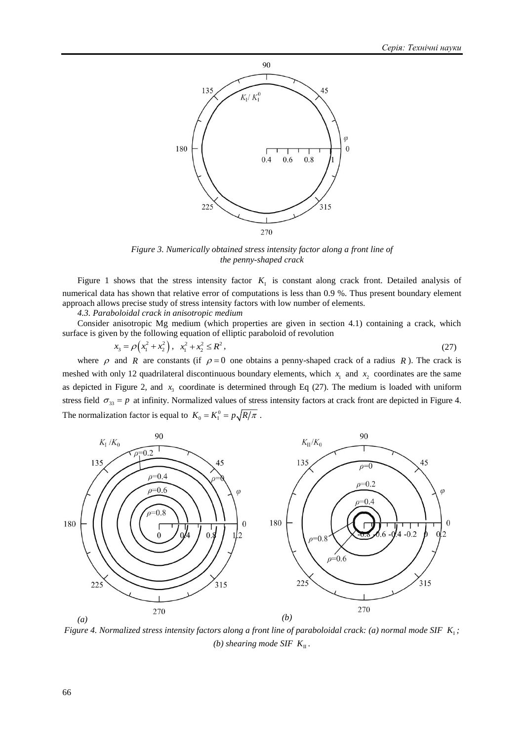

*Figure 3. Numerically obtained stress intensity factor along a front line of the penny-shaped crack*

Figure 1 shows that the stress intensity factor  $K<sub>1</sub>$  is constant along crack front. Detailed analysis of numerical data has shown that relative error of computations is less than 0.9 %. Thus present boundary element approach allows precise study of stress intensity factors with low number of elements.

*4.3. Paraboloidal crack in anisotropic medium*

Consider anisotropic Mg medium (which properties are given in section 4.1) containing a crack, which surface is given by the following equation of elliptic paraboloid of revolution

$$
x_3 = \rho \left( x_1^2 + x_2^2 \right), \quad x_1^2 + x_2^2 \le R^2 \,, \tag{27}
$$

where  $\rho$  and R are constants (if  $\rho = 0$  one obtains a penny-shaped crack of a radius R). The crack is meshed with only 12 quadrilateral discontinuous boundary elements, which  $x_1$  and  $x_2$  coordinates are the same as depicted in Figure 2, and  $x_3$  coordinate is determined through Eq (27). The medium is loaded with uniform stress field  $\sigma_{33} = p$  at infinity. Normalized values of stress intensity factors at crack front are depicted in Figure 4. The normalization factor is equal to  $K_0 = K_1^0 = p \sqrt{R/\pi}$ .



*Figure 4. Normalized stress intensity factors along a front line of paraboloidal crack: (a) normal mode SIF*  $K_1$ ; *(b)* shearing mode SIF  $K_{\text{II}}$ .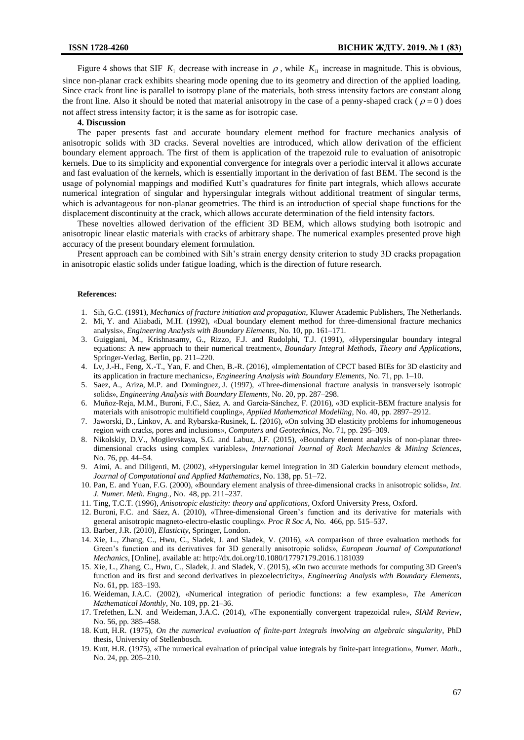Figure 4 shows that SIF  $K_1$  decrease with increase in  $\rho$ , while  $K_{II}$  increase in magnitude. This is obvious, since non-planar crack exhibits shearing mode opening due to its geometry and direction of the applied loading. Since crack front line is parallel to isotropy plane of the materials, both stress intensity factors are constant along the front line. Also it should be noted that material anisotropy in the case of a penny-shaped crack ( $\rho = 0$ ) does not affect stress intensity factor; it is the same as for isotropic case.

#### **4. Discussion**

The paper presents fast and accurate boundary element method for fracture mechanics analysis of anisotropic solids with 3D cracks. Several novelties are introduced, which allow derivation of the efficient boundary element approach. The first of them is application of the trapezoid rule to evaluation of anisotropic kernels. Due to its simplicity and exponential convergence for integrals over a periodic interval it allows accurate and fast evaluation of the kernels, which is essentially important in the derivation of fast BEM. The second is the usage of polynomial mappings and modified Kutt's quadratures for finite part integrals, which allows accurate numerical integration of singular and hypersingular integrals without additional treatment of singular terms, which is advantageous for non-planar geometries. The third is an introduction of special shape functions for the displacement discontinuity at the crack, which allows accurate determination of the field intensity factors.

These novelties allowed derivation of the efficient 3D BEM, which allows studying both isotropic and anisotropic linear elastic materials with cracks of arbitrary shape. The numerical examples presented prove high accuracy of the present boundary element formulation.

Present approach can be combined with Sih's strain energy density criterion to study 3D cracks propagation in anisotropic elastic solids under fatigue loading, which is the direction of future research.

#### **References:**

- 1. Sih, G.C. (1991), *Mechanics of fracture initiation and propagation*, Kluwer Academic Publishers, The Netherlands.
- 2. Mi, Y. and Aliabadi, M.H. (1992), «Dual boundary element method for three-dimensional fracture mechanics analysis», *Engineering Analysis with Boundary Elements*, No. 10, pp. 161–171.
- 3. Guiggiani, M., Krishnasamy, G., Rizzo, F.J. and Rudolphi, T.J. (1991), «Hypersingular boundary integral equations: A new approach to their numerical treatment», *Boundary Integral Methods, Theory and Applications*, Springer-Verlag, Berlin, pp. 211–220.
- 4. Lv, J.-H., Feng, X.-T., Yan, F. and Chen, B.-R. (2016), «Implementation of CPCT based BIEs for 3D elasticity and its application in fracture mechanics», *Engineering Analysis with Boundary Elements*, No. 71, рр. 1–10.
- 5. Saez, A., Ariza, M.P. and Dominguez, J. (1997), «Three-dimensional fracture analysis in transversely isotropic solids», *Engineering Analysis with Boundary Elements*, No. 20, рр. 287–298.
- 6. Muñoz-Reja, M.M., Buroni, F.C., Sáez, A. and García-Sánchez, F. (2016), «3D explicit-BEM fracture analysis for materials with anisotropic multifield coupling», *Applied Mathematical Modelling,* No. 40, рр. 2897–2912.
- 7. Jaworski, D., Linkov, A. and Rybarska-Rusinek, L. (2016), «On solving 3D elasticity problems for inhomogeneous region with cracks, pores and inclusions», *Computers and Geotechnics*, No. 71, рр. 295–309.
- 8. Nikolskiy, D.V., Mogilevskaya, S.G. and Labuz, J.F. (2015), «Boundary element analysis of non-planar threedimensional cracks using complex variables», *International Journal of Rock Mechanics & Mining Sciences*, No. 76, рр. 44–54.
- 9. Aimi, A. and Diligenti, M. (2002), «Hypersingular kernel integration in 3D Galerkin boundary element method», *Journal of Computational and Applied Mathematics*, No. 138, рр. 51–72.
- 10. Pan, E. and Yuan, F.G. (2000), «Boundary element analysis of three-dimensional cracks in anisotropic solids», *Int. J. Numer. Meth. Engng.*, No. 48, рр. 211–237.
- 11. Ting, T.C.T. (1996), *Anisotropic elasticity: theory and applications*, Oxford University Press, Oxford.
- 12. Buroni, F.C. and Sáez, A. (2010), «Three-dimensional Green's function and its derivative for materials with general anisotropic magneto-electro-elastic coupling». *Proc R Soc A*, No. 466, рр. 515–537.
- 13. Barber, J.R. (2010), *Elasticity*, Springer, London.
- 14. Xie, L., Zhang, C., Hwu, C., Sladek, J. and Sladek, V. (2016), «A comparison of three evaluation methods for Green's function and its derivatives for 3D generally anisotropic solids», *European Journal of Computational Mechanics*, [Online], available at: <http://dx.doi.org/10.1080/17797179.2016.1181039>
- 15. Xie, L., Zhang, C., Hwu, C., Sladek, J. and Sladek, V. (2015), «On two accurate methods for computing 3D Green's function and its first and second derivatives in piezoelectricity», *Engineering Analysis with Boundary Elements*, No. 61, рр. 183–193.
- 16. Weideman, J.A.C. (2002), «Numerical integration of periodic functions: a few examples», *The American Mathematical Monthly*, No. 109, рр. 21–36.
- 17. Trefethen, L.N. and Weideman, J.A.C. (2014), «The exponentially convergent trapezoidal rule», *SIAM Review*, No. 56, рр. 385–458.
- 18. Kutt, H.R. (1975), *On the numerical evaluation of finite-part integrals involving an algebraic singularity*, PhD thesis, University of Stellenbosch.
- 19. Kutt, H.R. (1975), «The numerical evaluation of principal value integrals by finite-part integration», *Numer. Math.*, No. 24, рр. 205–210.